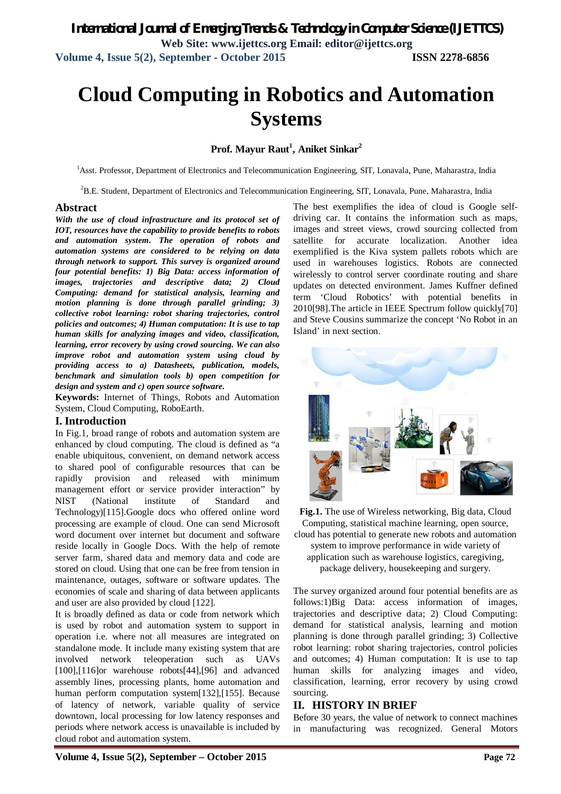# **Cloud Computing in Robotics and Automation Systems**

## **Prof. Mayur Raut<sup>1</sup> , Aniket Sinkar<sup>2</sup>**

<sup>1</sup>Asst. Professor, Department of Electronics and Telecommunication Engineering, SIT, Lonavala, Pune, Maharastra, India

<sup>2</sup>B.E. Student, Department of Electronics and Telecommunication Engineering, SIT, Lonavala, Pune, Maharastra, India

### **Abstract**

*With the use of cloud infrastructure and its protocol set of IOT, resources have the capability to provide benefits to robots and automation system. The operation of robots and automation systems are considered to be relying on data through network to support. This survey is organized around four potential benefits: 1) Big Data: access information of images, trajectories and descriptive data; 2) Cloud Computing: demand for statistical analysis, learning and motion planning is done through parallel grinding; 3) collective robot learning: robot sharing trajectories, control policies and outcomes; 4) Human computation: It is use to tap human skills for analyzing images and video, classification, learning, error recovery by using crowd sourcing. We can also improve robot and automation system using cloud by providing access to a) Datasheets, publication, models, benchmark and simulation tools b) open competition for design and system and c) open source software.*

**Keywords:** Internet of Things, Robots and Automation System, Cloud Computing, RoboEarth.

### **I. Introduction**

In Fig.1, broad range of robots and automation system are enhanced by cloud computing. The cloud is defined as "a enable ubiquitous, convenient, on demand network access to shared pool of configurable resources that can be rapidly provision and released with minimum management effort or service provider interaction" by NIST (National institute of Standard and Technology)[115].Google docs who offered online word processing are example of cloud. One can send Microsoft word document over internet but document and software reside locally in Google Docs. With the help of remote server farm, shared data and memory data and code are stored on cloud. Using that one can be free from tension in maintenance, outages, software or software updates. The economies of scale and sharing of data between applicants and user are also provided by cloud [122].

It is broadly defined as data or code from network which is used by robot and automation system to support in operation i.e. where not all measures are integrated on standalone mode. It include many existing system that are involved network teleoperation such as UAVs [100],[116]or warehouse robots[44],[96] and advanced assembly lines, processing plants, home automation and human perform computation system[132],[155]. Because of latency of network, variable quality of service downtown, local processing for low latency responses and periods where network access is unavailable is included by cloud robot and automation system.

The best exemplifies the idea of cloud is Google selfdriving car. It contains the information such as maps, images and street views, crowd sourcing collected from satellite for accurate localization. Another idea exemplified is the Kiva system pallets robots which are used in warehouses logistics. Robots are connected wirelessly to control server coordinate routing and share updates on detected environment. James Kuffner defined term 'Cloud Robotics' with potential benefits in 2010[98].The article in IEEE Spectrum follow quickly[70] and Steve Cousins summarize the concept 'No Robot in an Island' in next section.



**Fig.1.** The use of Wireless networking, Big data, Cloud Computing, statistical machine learning, open source, cloud has potential to generate new robots and automation system to improve performance in wide variety of

application such as warehouse logistics, caregiving, package delivery, housekeeping and surgery.

The survey organized around four potential benefits are as follows:1)Big Data: access information of images, trajectories and descriptive data; 2) Cloud Computing: demand for statistical analysis, learning and motion planning is done through parallel grinding; 3) Collective robot learning: robot sharing trajectories, control policies and outcomes; 4) Human computation: It is use to tap human skills for analyzing images and video, classification, learning, error recovery by using crowd sourcing.

## **II. HISTORY IN BRIEF**

Before 30 years, the value of network to connect machines in manufacturing was recognized. General Motors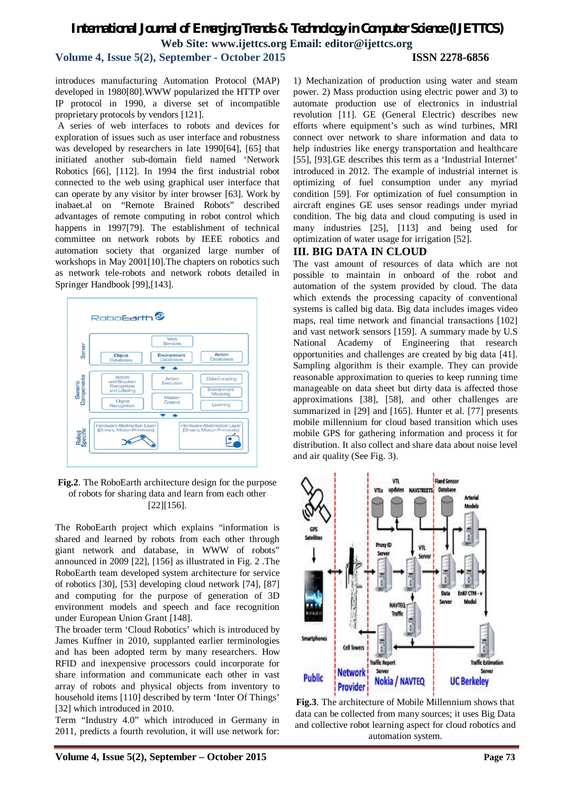**Volume 4, Issue 5(2), September - October 2015 ISSN 2278-6856**

introduces manufacturing Automation Protocol (MAP) developed in 1980[80].WWW popularized the HTTP over IP protocol in 1990, a diverse set of incompatible proprietary protocols by vendors [121].

A series of web interfaces to robots and devices for exploration of issues such as user interface and robustness was developed by researchers in late 1990[64], [65] that initiated another sub-domain field named 'Network Robotics [66], [112]. In 1994 the first industrial robot connected to the web using graphical user interface that can operate by any visitor by inter browser [63]. Work by inabaet.al on "Remote Brained Robots" described advantages of remote computing in robot control which happens in 1997[79]. The establishment of technical committee on network robots by IEEE robotics and automation society that organized large number of workshops in May 2001[10].The chapters on robotics such as network tele-robots and network robots detailed in Springer Handbook [99],[143].



**Fig.2**. The RoboEarth architecture design for the purpose of robots for sharing data and learn from each other [22][156].

The RoboEarth project which explains "information is shared and learned by robots from each other through giant network and database, in WWW of robots" announced in 2009 [22], [156] as illustrated in Fig. 2 .The RoboEarth team developed system architecture for service of robotics [30], [53] developing cloud network [74], [87] and computing for the purpose of generation of 3D environment models and speech and face recognition under European Union Grant [148].

The broader term 'Cloud Robotics' which is introduced by James Kuffner in 2010, supplanted earlier terminologies and has been adopted term by many researchers. How RFID and inexpensive processors could incorporate for share information and communicate each other in vast array of robots and physical objects from inventory to household items [110] described by term 'Inter Of Things' [32] which introduced in 2010.

Term "Industry 4.0" which introduced in Germany in 2011, predicts a fourth revolution, it will use network for:

1) Mechanization of production using water and steam power. 2) Mass production using electric power and 3) to automate production use of electronics in industrial revolution [11]. GE (General Electric) describes new efforts where equipment's such as wind turbines, MRI connect over network to share information and data to help industries like energy transportation and healthcare [55], [93].GE describes this term as a 'Industrial Internet' introduced in 2012. The example of industrial internet is optimizing of fuel consumption under any myriad condition [59]. For optimization of fuel consumption in aircraft engines GE uses sensor readings under myriad condition. The big data and cloud computing is used in many industries [25], [113] and being used for optimization of water usage for irrigation [52].

## **III. BIG DATA IN CLOUD**

The vast amount of resources of data which are not possible to maintain in onboard of the robot and automation of the system provided by cloud. The data which extends the processing capacity of conventional systems is called big data. Big data includes images video maps, real time network and financial transactions [102] and vast network sensors [159]. A summary made by U.S National Academy of Engineering that research opportunities and challenges are created by big data [41]. Sampling algorithm is their example. They can provide reasonable approximation to queries to keep running time manageable on data sheet but dirty data is affected those approximations [38], [58], and other challenges are summarized in [29] and [165]. Hunter et al. [77] presents mobile millennium for cloud based transition which uses mobile GPS for gathering information and process it for distribution. It also collect and share data about noise level and air quality (See Fig. 3).



**Fig.3**. The architecture of Mobile Millennium shows that data can be collected from many sources; it uses Big Data and collective robot learning aspect for cloud robotics and automation system.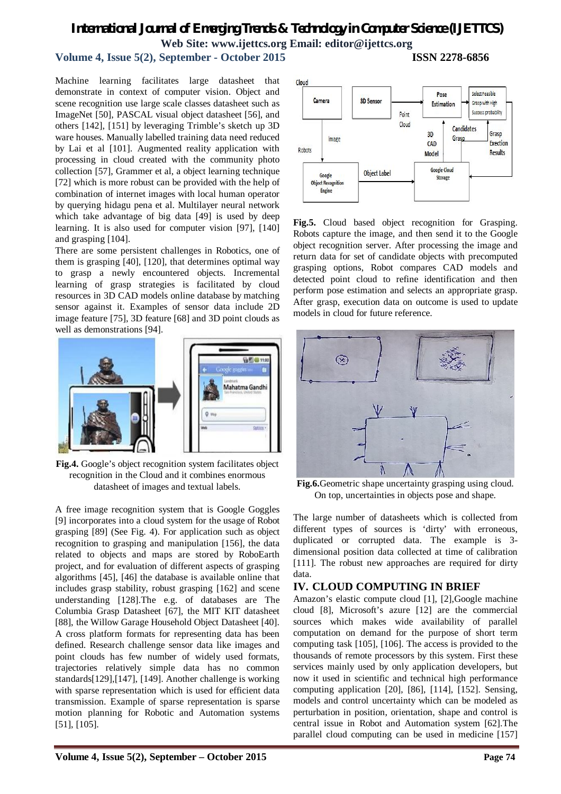## **Volume 4, Issue 5(2), September - October 2015 ISSN 2278-6856**

Machine learning facilitates large datasheet that demonstrate in context of computer vision. Object and scene recognition use large scale classes datasheet such as ImageNet [50], PASCAL visual object datasheet [56], and others [142], [151] by leveraging Trimble's sketch up 3D ware houses. Manually labelled training data need reduced by Lai et al [101]. Augmented reality application with processing in cloud created with the community photo collection [57], Grammer et al, a object learning technique [72] which is more robust can be provided with the help of combination of internet images with local human operator by querying hidagu pena et al. Multilayer neural network which take advantage of big data [49] is used by deep learning. It is also used for computer vision [97], [140] and grasping [104].

There are some persistent challenges in Robotics, one of them is grasping [40], [120], that determines optimal way to grasp a newly encountered objects. Incremental learning of grasp strategies is facilitated by cloud resources in 3D CAD models online database by matching sensor against it. Examples of sensor data include 2D image feature [75], 3D feature [68] and 3D point clouds as well as demonstrations [94].



**Fig.4.** Google's object recognition system facilitates object recognition in the Cloud and it combines enormous datasheet of images and textual labels.

A free image recognition system that is Google Goggles [9] incorporates into a cloud system for the usage of Robot grasping [89] (See Fig. 4). For application such as object recognition to grasping and manipulation [156], the data related to objects and maps are stored by RoboEarth project, and for evaluation of different aspects of grasping algorithms [45], [46] the database is available online that includes grasp stability, robust grasping [162] and scene understanding [128].The e.g. of databases are The Columbia Grasp Datasheet [67], the MIT KIT datasheet [88], the Willow Garage Household Object Datasheet [40]. A cross platform formats for representing data has been defined. Research challenge sensor data like images and point clouds has few number of widely used formats, trajectories relatively simple data has no common standards[129],[147], [149]. Another challenge is working with sparse representation which is used for efficient data transmission. Example of sparse representation is sparse motion planning for Robotic and Automation systems [51], [105].



**Fig.5.** Cloud based object recognition for Grasping. Robots capture the image, and then send it to the Google object recognition server. After processing the image and return data for set of candidate objects with precomputed grasping options, Robot compares CAD models and detected point cloud to refine identification and then perform pose estimation and selects an appropriate grasp. After grasp, execution data on outcome is used to update models in cloud for future reference.



**Fig.6.**Geometric shape uncertainty grasping using cloud. On top, uncertainties in objects pose and shape.

The large number of datasheets which is collected from different types of sources is 'dirty' with erroneous, duplicated or corrupted data. The example is 3 dimensional position data collected at time of calibration [111]. The robust new approaches are required for dirty data.

## **IV. CLOUD COMPUTING IN BRIEF**

Amazon's elastic compute cloud [1], [2],Google machine cloud [8], Microsoft's azure [12] are the commercial sources which makes wide availability of parallel computation on demand for the purpose of short term computing task [105], [106]. The access is provided to the thousands of remote processors by this system. First these services mainly used by only application developers, but now it used in scientific and technical high performance computing application [20], [86], [114], [152]. Sensing, models and control uncertainty which can be modeled as perturbation in position, orientation, shape and control is central issue in Robot and Automation system [62].The parallel cloud computing can be used in medicine [157]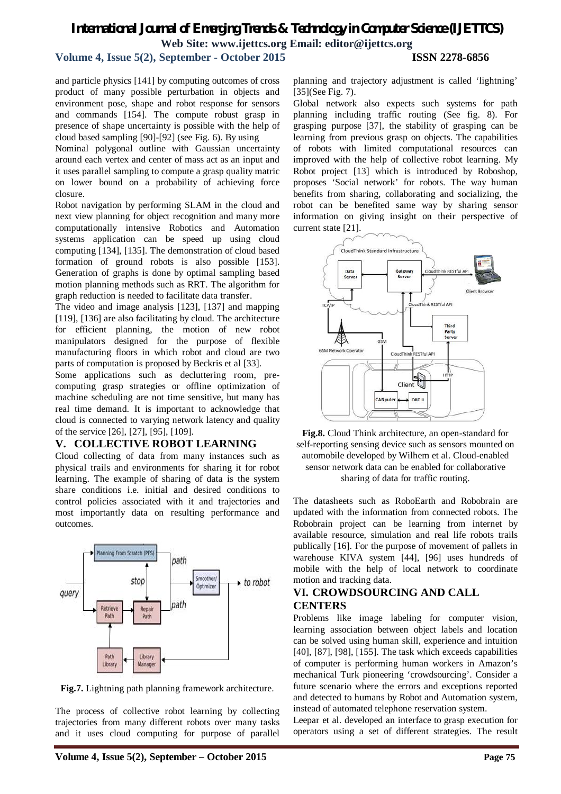## **Volume 4, Issue 5(2), September - October 2015 ISSN 2278-6856**

and particle physics [141] by computing outcomes of cross product of many possible perturbation in objects and environment pose, shape and robot response for sensors and commands [154]. The compute robust grasp in presence of shape uncertainty is possible with the help of cloud based sampling [90]-[92] (see Fig. 6). By using

Nominal polygonal outline with Gaussian uncertainty around each vertex and center of mass act as an input and it uses parallel sampling to compute a grasp quality matric on lower bound on a probability of achieving force closure.

Robot navigation by performing SLAM in the cloud and next view planning for object recognition and many more computationally intensive Robotics and Automation systems application can be speed up using cloud computing [134], [135]. The demonstration of cloud based formation of ground robots is also possible [153]. Generation of graphs is done by optimal sampling based motion planning methods such as RRT. The algorithm for graph reduction is needed to facilitate data transfer.

The video and image analysis [123], [137] and mapping [119], [136] are also facilitating by cloud. The architecture for efficient planning, the motion of new robot manipulators designed for the purpose of flexible manufacturing floors in which robot and cloud are two parts of computation is proposed by Beckris et al [33].

Some applications such as decluttering room, precomputing grasp strategies or offline optimization of machine scheduling are not time sensitive, but many has real time demand. It is important to acknowledge that cloud is connected to varying network latency and quality of the service [26], [27], [95], [109].

## **V. COLLECTIVE ROBOT LEARNING**

Cloud collecting of data from many instances such as physical trails and environments for sharing it for robot learning. The example of sharing of data is the system share conditions i.e. initial and desired conditions to control policies associated with it and trajectories and most importantly data on resulting performance and outcomes.



**Fig.7.** Lightning path planning framework architecture.

The process of collective robot learning by collecting trajectories from many different robots over many tasks and it uses cloud computing for purpose of parallel planning and trajectory adjustment is called 'lightning' [35](See Fig. 7).

Global network also expects such systems for path planning including traffic routing (See fig. 8). For grasping purpose [37], the stability of grasping can be learning from previous grasp on objects. The capabilities of robots with limited computational resources can improved with the help of collective robot learning. My Robot project [13] which is introduced by Roboshop, proposes 'Social network' for robots. The way human benefits from sharing, collaborating and socializing, the robot can be benefited same way by sharing sensor information on giving insight on their perspective of current state [21].



**Fig.8.** Cloud Think architecture, an open-standard for self-reporting sensing device such as sensors mounted on automobile developed by Wilhem et al. Cloud-enabled sensor network data can be enabled for collaborative sharing of data for traffic routing.

The datasheets such as RoboEarth and Robobrain are updated with the information from connected robots. The Robobrain project can be learning from internet by available resource, simulation and real life robots trails publically [16]. For the purpose of movement of pallets in warehouse KIVA system [44], [96] uses hundreds of mobile with the help of local network to coordinate motion and tracking data.

## **VI. CROWDSOURCING AND CALL CENTERS**

Problems like image labeling for computer vision, learning association between object labels and location can be solved using human skill, experience and intuition [40], [87], [98], [155]. The task which exceeds capabilities of computer is performing human workers in Amazon's mechanical Turk pioneering 'crowdsourcing'. Consider a future scenario where the errors and exceptions reported and detected to humans by Robot and Automation system, instead of automated telephone reservation system.

Leepar et al. developed an interface to grasp execution for operators using a set of different strategies. The result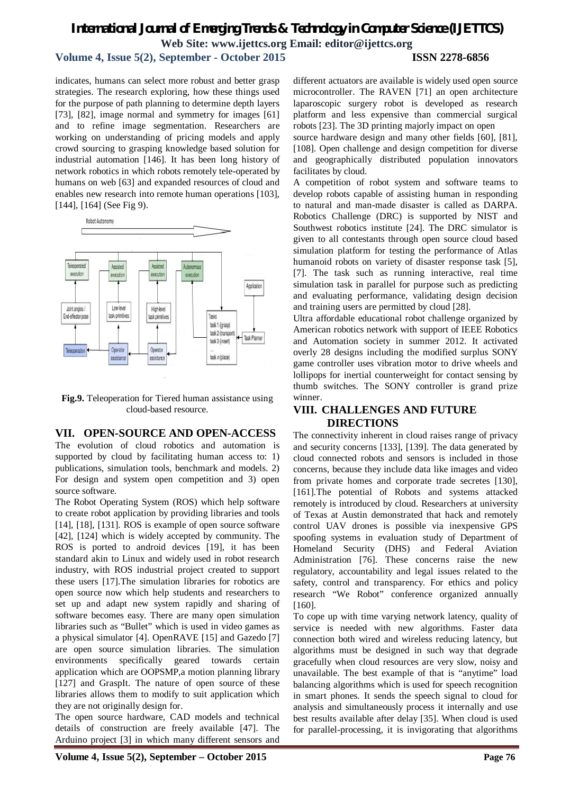## **Volume 4, Issue 5(2), September - October 2015 ISSN 2278-6856**

indicates, humans can select more robust and better grasp strategies. The research exploring, how these things used for the purpose of path planning to determine depth layers [73], [82], image normal and symmetry for images [61] and to refine image segmentation. Researchers are working on understanding of pricing models and apply crowd sourcing to grasping knowledge based solution for industrial automation [146]. It has been long history of network robotics in which robots remotely tele-operated by humans on web [63] and expanded resources of cloud and enables new research into remote human operations [103], [144], [164] (See Fig 9).



**Fig.9.** Teleoperation for Tiered human assistance using cloud-based resource.

### **VII. OPEN-SOURCE AND OPEN-ACCESS**

The evolution of cloud robotics and automation is supported by cloud by facilitating human access to: 1) publications, simulation tools, benchmark and models. 2) For design and system open competition and 3) open source software.

The Robot Operating System (ROS) which help software to create robot application by providing libraries and tools [14], [18], [131]. ROS is example of open source software [42], [124] which is widely accepted by community. The ROS is ported to android devices [19], it has been standard akin to Linux and widely used in robot research industry, with ROS industrial project created to support these users [17].The simulation libraries for robotics are open source now which help students and researchers to set up and adapt new system rapidly and sharing of software becomes easy. There are many open simulation libraries such as "Bullet" which is used in video games as a physical simulator [4]. OpenRAVE [15] and Gazedo [7] are open source simulation libraries. The simulation environments specifically geared towards certain application which are OOPSMP,a motion planning library [127] and GraspIt. The nature of open source of these libraries allows them to modify to suit application which they are not originally design for.

The open source hardware, CAD models and technical details of construction are freely available [47]. The Arduino project [3] in which many different sensors and

different actuators are available is widely used open source microcontroller. The RAVEN [71] an open architecture laparoscopic surgery robot is developed as research platform and less expensive than commercial surgical robots [23]. The 3D printing majorly impact on open

source hardware design and many other fields [60], [81], [108]. Open challenge and design competition for diverse and geographically distributed population innovators facilitates by cloud.

A competition of robot system and software teams to develop robots capable of assisting human in responding to natural and man-made disaster is called as DARPA. Robotics Challenge (DRC) is supported by NIST and Southwest robotics institute [24]. The DRC simulator is given to all contestants through open source cloud based simulation platform for testing the performance of Atlas humanoid robots on variety of disaster response task [5], [7]. The task such as running interactive, real time simulation task in parallel for purpose such as predicting and evaluating performance, validating design decision and training users are permitted by cloud [28].

Ultra affordable educational robot challenge organized by American robotics network with support of IEEE Robotics and Automation society in summer 2012. It activated overly 28 designs including the modified surplus SONY game controller uses vibration motor to drive wheels and lollipops for inertial counterweight for contact sensing by thumb switches. The SONY controller is grand prize winner.

### **VIII. CHALLENGES AND FUTURE DIRECTIONS**

The connectivity inherent in cloud raises range of privacy and security concerns [133], [139]. The data generated by cloud connected robots and sensors is included in those concerns, because they include data like images and video from private homes and corporate trade secretes [130], [161].The potential of Robots and systems attacked remotely is introduced by cloud. Researchers at university of Texas at Austin demonstrated that hack and remotely control UAV drones is possible via inexpensive GPS spoofing systems in evaluation study of Department of Homeland Security (DHS) and Federal Aviation Administration [76]. These concerns raise the new regulatory, accountability and legal issues related to the safety, control and transparency. For ethics and policy research "We Robot" conference organized annually [160].

To cope up with time varying network latency, quality of service is needed with new algorithms. Faster data connection both wired and wireless reducing latency, but algorithms must be designed in such way that degrade gracefully when cloud resources are very slow, noisy and unavailable. The best example of that is "anytime" load balancing algorithms which is used for speech recognition in smart phones. It sends the speech signal to cloud for analysis and simultaneously process it internally and use best results available after delay [35]. When cloud is used for parallel-processing, it is invigorating that algorithms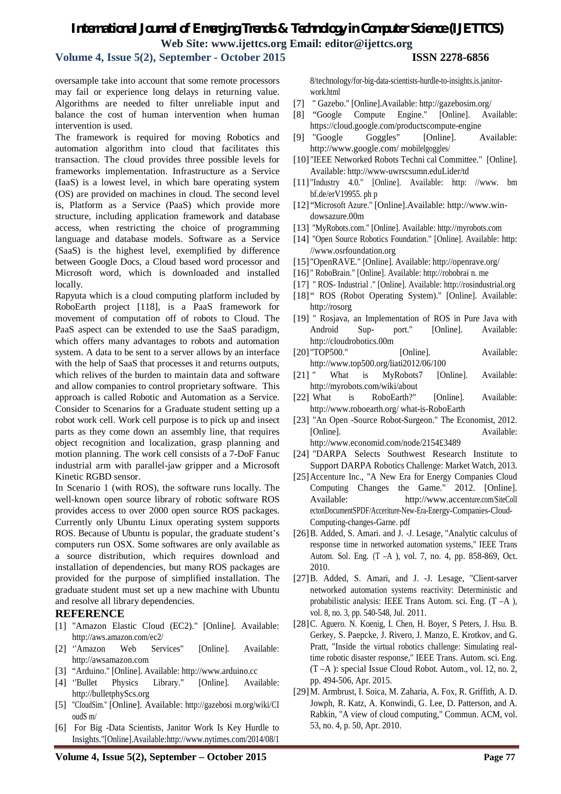**Volume 4, Issue 5(2), September - October 2015 ISSN 2278-6856**

oversample take into account that some remote processors may fail or experience long delays in returning value. Algorithms are needed to filter unreliable input and balance the cost of human intervention when human intervention is used.

The framework is required for moving Robotics and automation algorithm into cloud that facilitates this transaction. The cloud provides three possible levels for frameworks implementation. Infrastructure as a Service (IaaS) is a lowest level, in which bare operating system (OS) are provided on machines in cloud. The second level is, Platform as a Service (PaaS) which provide more structure, including application framework and database access, when restricting the choice of programming language and database models. Software as a Service (SaaS) is the highest level, exemplified by difference between Google Docs, a Cloud based word processor and Microsoft word, which is downloaded and installed locally.

Rapyuta which is a cloud computing platform included by RoboEarth project [118], is a PaaS framework for movement of computation off of robots to Cloud. The PaaS aspect can be extended to use the SaaS paradigm, which offers many advantages to robots and automation system. A data to be sent to a server allows by an interface with the help of SaaS that processes it and returns outputs, which relives of the burden to maintain data and software and allow companies to control proprietary software. This approach is called Robotic and Automation as a Service. Consider to Scenarios for a Graduate student setting up a robot work cell. Work cell purpose is to pick up and insect parts as they come down an assembly line, that requires object recognition and localization, grasp planning and motion planning. The work cell consists of a 7-DoF Fanuc industrial arm with parallel-jaw gripper and a Microsoft Kinetic RGBD sensor.

In Scenario 1 (with ROS), the software runs locally. The well-known open source library of robotic software ROS provides access to over 2000 open source ROS packages. Currently only Ubuntu Linux operating system supports ROS. Because of Ubuntu is popular, the graduate student's computers run OSX. Some softwares are only available as a source distribution, which requires download and installation of dependencies, but many ROS packages are provided for the purpose of simplified installation. The graduate student must set up a new machine with Ubuntu and resolve all library dependencies.

### **REFERENCE**

- [1] "Amazon Elastic Cloud (EC2)." [Online]. Available: http://aws.amazon.com/ec2/
- [2] ''Amazon Web Services" [Online]. Available: http://awsamazon.com
- [3] "Arduino." [Online]. Available: http://www.arduino.cc
- [4] ''Bullet Physics Library." [Online]. Available: http://bulletphyScs.org
- [5] "CIoudSim." [Online]. Available: http://gazebosi m.org/wiki/CI oudS m/
- [6] For Big -Data Scientists, Janitor Work Is Key Hurdle to Insights."[Online].Available:http://www.nytimes.com/2014/08/1

8/technology/for-big-data-scientists-hurdle-to-insights.is.janitorwork.html

- [7] " Gazebo." [Online].Available: http://gazebosim.org/
- [8] "Google Compute Engine." [Online]. Available: https://cloud.google.com/productscompute-engine
- [9] "Google Goggles" [Online]. Available: http://www.google.com/ mobilelgoggles/
- [10] "IEEE Networked Robots Techni cal Committee." [Online]. Available: http://www-uwrscsumn.eduLider/td
- [11] "Industry 4.0." [Online]. Available: http: //www. bm bf.de/erV19955. ph p
- [12] "Microsoft Azure." [Online].Available: http://www.windowsazure.00m
- [13] "MyRobots.com." [Online]. Available: http://myrobots.com
- [14] "Open Source Robotics Foundation." [Online]. Available: http: //www.osrfoundation.org
- [15] "OpenRAVE." [Online]. Available: http://openrave.org/
- [16] " RoboBrain." [Online]. Available: http://robobrai n. me
- [17] " ROS- Industrial ." [Online]. Available: http://rosindustrial.org
- [18] "ROS (Robot Operating System)." [Online]. Available: http://rosorg
- [19] " Rosjava, an Implementation of ROS in Pure Java with Android Sup- port." [Online]. Available: http://cloudrobotics.00m
- [20] "TOP500." [Online]. Available: http://www.top500.org/liati2012/06/100
- [21] " What is MyRobots7 [Online]. Available: http://myrobots.com/wiki/about
- [22] What is RoboEarth?" [Online]. Available: http://www.roboearth.org/ what-is-RoboEarth
- [23] "An Open -Source Robot-Surgeon." The Economist, 2012. [Online]. Available: http://www.economid.com/node/2154£3489
- [24] "DARPA Selects Southwest Research Institute to Support DARPA Robotics Challenge: Market Watch, 2013.
- [25]Accenture Inc., "A New Era for Energy Companies Cloud Computing Changes the Game." 2012. [Online]. Available: http://www.accenture.com/SiteColI ectonDocumentSPDF/Acceriture-New-Era-Energy-Companies-Cloud-Computing-changes-Garne. pdf
- [26]B. Added, S. Amari. and J. -J. Lesage, "Analytic calculus of response time in networked automation systems," IEEE Trans Autom. Sol. Eng. (T –A ), vol. 7, no. 4, pp. 858-869, Oct. 2010.
- [27]B. Added, S. Amari, and J. -J. Lesage, "Client-sarver networked automation systems reactivity: Deterministic and probabilistic analysis: IEEE Trans Autom. sci. Eng. (T –A ), vol. 8, no. 3, pp. 540-548, Jul. 2011.
- [28] C. Aguero. N. Koenig, I. Chen, H. Boyer, S Peters, J. Hsu. B. Gerkey, S. Paepcke, J. Rivero, J. Manzo, E. Krotkov, and G. Pratt, "Inside the virtual robotics challenge: Simulating realtime robotic disaster response," IEEE Trans. Autom. sci. Eng. (T –A ): special Issue Cloud Robot. Autom., vol. 12, no. 2, pp. 494-506, Apr. 2015.
- [29]M. Armbrust, I. Soica, M. Zaharia, A. Fox, R. Griffith, A. D. Jowph, R. Katz, A. Konwindi, G. Lee, D. Patterson, and A. Rabkin, "A view of cloud computing," Commun. ACM, vol. 53, no. 4, p. 50, Apr. 2010.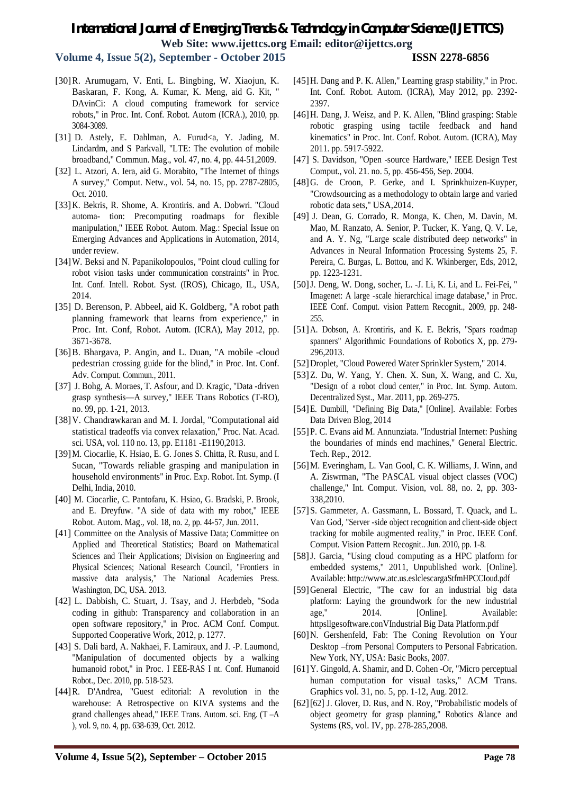**Volume 4, Issue 5(2), September - October 2015 ISSN 2278-6856**

- [30]R. Arumugarn, V. Enti, L. Bingbing, W. Xiaojun, K. Baskaran, F. Kong, A. Kumar, K. Meng, aid G. Kit, " DAvinCi: A cloud computing framework for service robots," in Proc. Int. Conf. Robot. Autom (ICRA.), 2010, pp. 3084-3089.
- [31] D. Astely, E. Dahlman, A. Furud<a, Y. Jading, M. Lindardm, and S Parkvall, "LTE: The evolution of mobile broadband," Commun. Mag., vol. 47, no. 4, pp. 44-51,2009.
- [32] L. Atzori, A. Iera, aid G. Morabito, "The Internet of things A survey," Comput. Netw., vol. 54, no. 15, pp. 2787-2805, Oct. 2010.
- [33]K. Bekris, R. Shome, A. Krontiris. and A. Dobwri. "Cloud automa- tion: Precomputing roadmaps for flexible manipulation," IEEE Robot. Autom. Mag.: Special Issue on Emerging Advances and Applications in Automation, 2014, under review.
- [34] W. Beksi and N. Papanikolopoulos, "Point cloud culling for robot vision tasks under communication constraints" in Proc. Int. Conf. Intell. Robot. Syst. (IROS), Chicago, IL, USA, 2014.
- [35] D. Berenson, P. Abbeel, aid K. Goldberg, "A robot path planning framework that learns from experience," in Proc. Int. Conf, Robot. Autom. (ICRA), May 2012, pp. 3671-3678.
- [36]B. Bhargava, P. Angin, and L. Duan, "A mobile -cloud pedestrian crossing guide for the blind," in Proc. Int. Conf. Adv. Cornput. Commun., 2011.
- [37] J. Bohg, A. Moraes, T. Asfour, and D. Kragic, "Data -driven grasp synthesis—A survey," IEEE Trans Robotics (T-RO), no. 99, pp. 1-21, 2013.
- [38]V. Chandrawkaran and M. I. Jordal, "Computational aid statistical tradeoffs via convex relaxation," Proc. Nat. Acad. sci. USA, vol. 110 no. 13, pp. E1181 -E1190,2013.
- [39]M. Ciocarlie, K. Hsiao, E. G. Jones S. Chitta, R. Rusu, and I. Sucan, "Towards reliable grasping and manipulation in household environments" in Proc. Exp. Robot. Int. Symp. (I Delhi, India, 2010.
- [40] M. Ciocarlie, C. Pantofaru, K. Hsiao, G. Bradski, P. Brook, and E. Dreyfuw. "A side of data with my robot," IEEE Robot. Autom. Mag., vol. 18, no. 2, pp. 44-57, Jun. 2011.
- [41] Committee on the Analysis of Massive Data; Committee on Applied and Theoretical Statistics; Board on Mathematical Sciences and Their Applications; Division on Engineering and Physical Sciences; National Research Council, "Frontiers in massive data analysis," The National Academies Press. Washington, DC, USA. 2013.
- [42] L. Dabbish, C. Stuart, J. Tsay, and J. Herbdeb, "Soda coding in github: Transparency and collaboration in an open software repository," in Proc. ACM Conf. Comput. Supported Cooperative Work, 2012, p. 1277.
- [43] S. Dali bard, A. Nakhaei, F. Lamiraux, and J. -P. Laumond, "Manipulation of documented objects by a walking humanoid robot," in Proc. I EEE-RAS I nt. Conf. Humanoid Robot., Dec. 2010, pp. 518-523.
- [44]R. D'Andrea, "Guest editorial: A revolution in the warehouse: A Retrospective on KIVA systems and the grand challenges ahead," IEEE Trans. Autom. sci. Eng. (T –A ), vol. 9, no. 4, pp. 638-639, Oct. 2012.
- [46]H. Dang, J. Weisz, and P. K. Allen, "Blind grasping: Stable robotic grasping using tactile feedback and hand kinematics" in Proc. Int. Conf. Robot. Autom. (ICRA), May 2011. pp. 5917-5922.
- [47] S. Davidson, "Open -source Hardware," IEEE Design Test Comput., vol. 21. no. 5, pp. 456-456, Sep. 2004.
- [48] G. de Croon, P. Gerke, and I. Sprinkhuizen-Kuyper, "Crowdsourcing as a methodology to obtain large and varied robotic data sets," USA,2014.
- [49] J. Dean, G. Corrado, R. Monga, K. Chen, M. Davin, M. Mao, M. Ranzato, A. Senior, P. Tucker, K. Yang, Q. V. Le, and A. Y. Ng, "Large scale distributed deep networks" in Advances in Neural Information Processing Systems 25, F. Pereira, C. Burgas, L. Bottou, and K. Wkinberger, Eds, 2012, pp. 1223-1231.
- [50]J. Deng, W. Dong, socher, L. -J. Li, K. Li, and L. Fei-Fei, " Imagenet: A large -scale hierarchical image database," in Proc. IEEE Conf. Comput. vision Pattern Recognit., 2009, pp. 248- 255.
- [51]A. Dobson, A. Krontiris, and K. E. Bekris, "Spars roadmap spanners" Algorithmic Foundations of Robotics X, pp. 279- 296,2013.
- [52] Droplet, "Cloud Powered Water Sprinkler System," 2014.
- [53]Z. Du, W. Yang, Y. Chen. X. Sun, X. Wang, and C. Xu, "Design of a robot cloud center," in Proc. Int. Symp. Autom. Decentralized Syst., Mar. 2011, pp. 269-275.
- [54]E. Dumbill, "Defining Big Data," [Online]. Available: Forbes Data Driven Blog, 2014
- [55]P. C. Evans aid M. Annunziata. "Industrial Internet: Pushing the boundaries of minds end machines," General Electric. Tech. Rep., 2012.
- [56]M. Everingham, L. Van Gool, C. K. Williams, J. Winn, and A. Ziswrman, "The PASCAL visual object classes (VOC) challenge," Int. Comput. Vision, vol. 88, no. 2, pp. 303- 338,2010.
- [57]S. Gammeter, A. Gassmann, L. Bossard, T. Quack, and L. Van God, "Server -side object recognition and client-side object tracking for mobile augmented reality," in Proc. IEEE Conf. Comput. Vision Pattern Recognit.. Jun. 2010, pp. 1-8.
- [58]J. Garcia, "Using cloud computing as a HPC platform for embedded systems," 2011, Unpublished work. [Online]. Available: http://www.atc.us.eslclescargaStfmHPCCIoud.pdf
- [59]General Electric, "The caw for an industrial big data platform: Laying the groundwork for the new industrial age," 2014. [Online]. Available: httpsllgesoftware.conVIndustrial Big Data Platform.pdf
- [60]N. Gershenfeld, Fab: The Coning Revolution on Your Desktop –from Personal Computers to Personal Fabrication. New York, NY, USA: Basic Books, 2007.
- [61]Y. Gingold, A. Shamir, and D. Cohen -Or, "Micro perceptual human computation for visual tasks," ACM Trans. Graphics vol. 31, no. 5, pp. 1-12, Aug. 2012.
- [62][62] J. Glover, D. Rus, and N. Roy, "Probabilistic models of object geometry for grasp planning," Robotics &lance and Systems (RS, vol. IV, pp. 278-285,2008.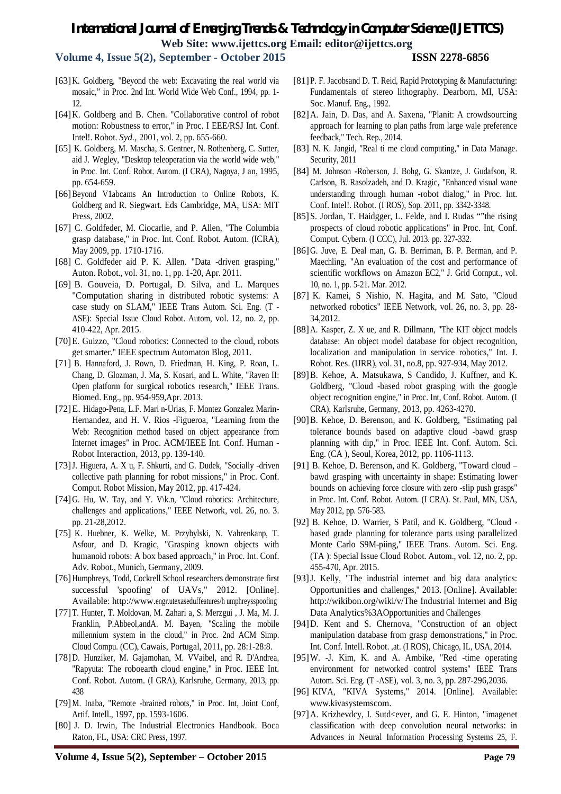**Volume 4, Issue 5(2), September - October 2015 ISSN 2278-6856**

- [63]K. Goldberg, "Beyond the web: Excavating the real world via mosaic," in Proc. 2nd Int. World Wide Web Conf., 1994, pp. 1- 12.
- [64]K. Goldberg and B. Chen. "Collaborative control of robot motion: Robustness to error," in Proc. I EEE/RSJ Int. Conf. Intel!. Robot. *Syd.,* 2001, vol. 2, pp. 655-660.
- [65] K. Goldberg, M. Mascha, S. Gentner, N. Rothenberg, C. Sutter, aid J. Wegley, "Desktop teleoperation via the world wide web," in Proc. Int. Conf. Robot. Autom. (I CRA), Nagoya, J an, 1995, pp. 654-659.
- [66] Beyond V1abcams An Introduction to Online Robots, K. Goldberg and R. Siegwart. Eds Cambridge, MA, USA: MIT Press, 2002.
- [67] C. Goldfeder, M. Ciocarlie, and P. Allen, "The Columbia grasp database," in Proc. Int. Conf. Robot. Autom. (ICRA), May 2009, pp. 1710-1716.
- [68] C. Goldfeder aid P. K. Allen. "Data -driven grasping," Auton. Robot., vol. 31, no. 1, pp. 1-20, Apr. 2011.
- [69] B. Gouveia, D. Portugal, D. Silva, and L. Marques "Computation sharing in distributed robotic systems: A case study on SLAM," IEEE Trans Autom. Sci. Eng. (T - ASE): Special Issue Cloud Robot. Autom, vol. 12, no. 2, pp. 410-422, Apr. 2015.
- [70]E. Guizzo, "Cloud robotics: Connected to the cloud, robots get smarter." IEEE spectrum Automaton Blog, 2011.
- [71] B. Hannaford, J. Rown, D. Friedman, H. King, P. Roan, L. Chang, D. Glozman, J. Ma, S. Kosari, and L. White, "Raven II: Open platform for surgical robotics research," IEEE Trans. Biomed. Eng., pp. 954-959,Apr. 2013.
- [72]E. Hidago-Pena, L.F. Mari n-Urias, F. Montez Gonzalez Marin-Hernandez, and H. V. Rios -Figueroa, "Learning from the Web: Recognition method based on object appearance from Internet images" in Proc. ACM/IEEE Int. Conf. Human - Robot Interaction, 2013, pp. 139-140.
- [73]J. Higuera, A. X u, F. Shkurti, and G. Dudek, "Socially -driven collective path planning for robot missions," in Proc. Conf. Comput. Robot Mission, May 2012, pp. 417-424.
- [74]G. Hu, W. Tay, and Y. V\k.n, "Cloud robotics: Architecture, challenges and applications," IEEE Network, vol. 26, no. 3. pp. 21-28,2012.
- [75] K. Huebner, K. Welke, M. Przybylski, N. Vahrenkanp, T. Asfour, and D. Kragic, "Grasping known objects with humanoid robots: A box based approach," in Proc. Int. Conf. Adv. Robot., Munich, Germany, 2009.
- [76] Humphreys, Todd, Cockrell School researchers demonstrate first successful 'spoofing' of UAVs," 2012. [Online]. Available: http://www.engr.utexaseduffeatures/h umphreysspoofing
- [77]T. Hunter, T. Moldovan, M. Zahari a, S. Merzgui , J. Ma, M. J. Franklin, P.Abbeol,andA. M. Bayen, "Scaling the mobile millennium system in the cloud," in Proc. 2nd ACM Simp. Cloud Compu. (CC), Cawais, Portugal, 2011, pp. 28:1-28:8.
- [78] D. Hunziker, M. Gajamohan, M. VVaibel, and R. D'Andrea, "Rapyuta: The roboearth cloud engine," in Proc. IEEE Int. Conf. Robot. Autom. (I GRA), Karlsruhe, Germany, 2013, pp. 438
- [79]M. Inaba, "Remote -brained robots," in Proc. Int, Joint Conf, Artif. Intell., 1997, pp. 1593-1606.
- [80] J. D. Irwin, The Industrial Electronics Handbook. Boca Raton, FL, USA: CRC Press, 1997.
- [81]P. F. Jacobsand D. T. Reid, Rapid Prototyping & Manufacturing: Fundamentals of stereo lithography. Dearborn, MI, USA: Soc. Manuf. Eng., 1992.
- [82]A. Jain, D. Das, and A. Saxena, "Planit: A crowdsourcing approach for learning to plan paths from large wale preference feedback," Tech. Rep., 2014.
- [83] N. K. Jangid, "Real ti me cloud computing," in Data Manage. Security, 2011
- [84] M. Johnson -Roberson, J. Bohg, G. Skantze, J. Gudafson, R. Carlson, B. Rasolzadeh, and D. Kragic, "Enhanced visual wane understanding through human -robot dialog," in Proc. Int. Conf. Intel!. Robot. (I ROS), Sop. 2011, pp. 3342-3348.
- [85] S. Jordan, T. Haidgger, L. Felde, and I. Rudas ""the rising prospects of cloud robotic applications" in Proc. Int, Conf. Comput. Cybern. (I CCC), Jul. 2013. pp. 327-332.
- [86]G. Juve, E. Deal man, G. B. Berriman, B. P. Berman, and P. Maechling, "An evaluation of the cost and performance of scientific workflows on Amazon EC2," J. Grid Cornput., vol. 10, no. 1, pp. 5-21. Mar. 2012.
- [87] K. Kamei, S Nishio, N. Hagita, and M. Sato, "Cloud networked robotics" IEEE Network, vol. 26, no. 3, pp. 28- 34,2012.
- [88]A. Kasper, Z. X ue, and R. Dillmann, "The KIT object models database: An object model database for object recognition, localization and manipulation in service robotics," Int. J. Robot. Res. (IJRR), vol. 31, no.8, pp. 927-934, May 2012.
- [89]B. Kehoe, A. Matsukawa, S Candido, J. Kuffner, and K. Goldberg, "Cloud -based robot grasping with the google object recognition engine," in Proc. Int, Conf. Robot. Autom. (I CRA), Karlsruhe, Germany, 2013, pp. 4263-4270.
- [90]B. Kehoe, D. Berenson, and K. Goldberg, "Estimating pal tolerance bounds based on adaptive cloud -bawd grasp planning with dip," in Proc. IEEE Int. Conf. Autom. Sci. Eng. (CA ), Seoul, Korea, 2012, pp. 1106-1113.
- [91] B. Kehoe, D. Berenson, and K. Goldberg, "Toward cloud bawd grasping with uncertainty in shape: Estimating lower bounds on achieving force closure with zero -slip push grasps" in Proc. Int. Conf. Robot. Autom. (I CRA). St. Paul, MN, USA, May 2012, pp. 576-583.
- [92] B. Kehoe, D. Warrier, S Patil, and K. Goldberg, "Cloud based grade planning for tolerance parts using parallelized Monte Carlo S9M-piing," IEEE Trans. Autom. Sci. Eng. (TA ): Special Issue Cloud Robot. Autom., vol. 12, no. 2, pp. 455-470, Apr. 2015.
- [93]J. Kelly, "The industrial internet and big data analytics: Opportunities and challenges," 2013. [Online]. Available: http://wikibon.org/wiki/v/The Industrial Internet and Big Data Analytics%3AOpportunities and Challenges
- [94]D. Kent and S. Chernova, "Construction of an object manipulation database from grasp demonstrations," in Proc. Int. Conf. Intell. Robot. ,at. (I ROS), Chicago, IL, USA, 2014.
- [95]W. -J. Kim, K. and A. Ambike, "Red -time operating environment for networked control systems" IEEE Trans Autom. Sci. Eng. (T -ASE), vol. 3, no. 3, pp. 287-296,2036.
- [96] KIVA, "KIVA Systems," 2014. [Online]. Available: www.kivasystemscom.
- [97] A. Krizhevdcy, I. Sutd<ever, and G. E. Hinton, "imagenet" classification with deep convolution neural networks: in Advances in Neural Information Processing Systems 25, F.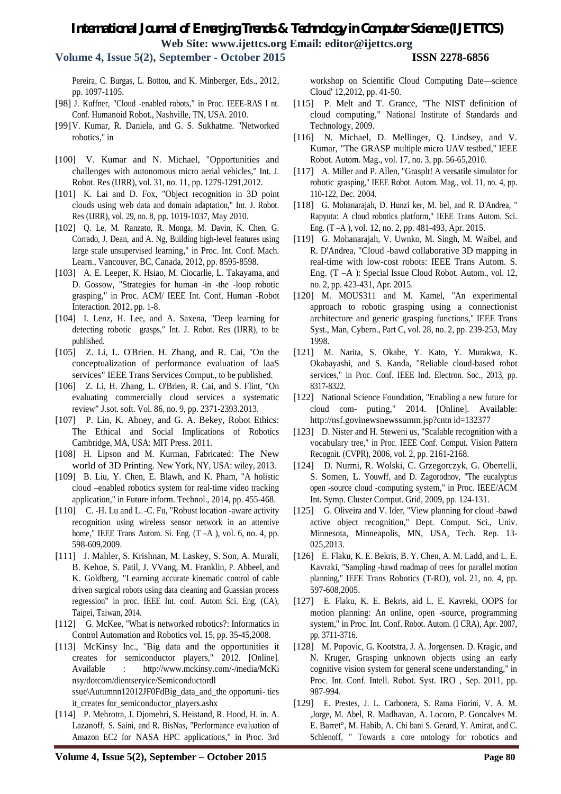**Volume 4, Issue 5(2), September - October 2015 ISSN 2278-6856**

Pereira, C. Burgas, L. Bottou, and K. Minberger, Eds., 2012, pp. 1097-1105.

- [98] J. Kuffner, "Cloud -enabled robots," in Proc. IEEE-RAS I nt. Conf. Humanoid Robot., Nashville, TN, USA. 2010.
- [99]V. Kumar, R. Daniela, and G. S. Sukhatme. "Networked robotics," in
- [100] V. Kumar and N. Michael, "Opportunities and challenges with autonomous micro aerial vehicles," Int. J. Robot. Res (IJRR), vol. 31, no. 11, pp. 1279-1291,2012.
- [101] K. Lai and D. Fox, "Object recognition in 3D point clouds using web data and domain adaptation," Int. J. Robot. Res (IJRR), vol. 29, no. 8, pp. 1019-1037, May 2010.
- [102] Q. Le, M. Ranzato, R. Monga, M. Davin, K. Chen, G. Corrado, J. Dean, and A. Ng, Building high-level features using large scale unsupervised learning," in Proc. Int. Conf. Mach. Learn., Vancouver, BC, Canada, 2012, pp. 8595-8598.
- [103] A. E. Leeper, K. Hsiao, M. Ciocarlie, L. Takayama, and D. Gossow, "Strategies for human -in -the -loop robotic grasping," in Proc. ACM/ IEEE Int. Conf, Human -Robot Interaction. 2012, pp. 1-8.
- [104] I. Lenz, H. Lee, and A. Saxena, "Deep learning for detecting robotic grasps," Int. J. Robot. Res (IJRR), to be published.
- [105] Z. Li, L. O'Brien. H. Zhang, and R. Cai, "On the conceptualization of performance evaluation of laaS services" IEEE Trans Services Cornput., to be published.
- [106] Z. Li, H. Zhang, L. O'Brien, R. Cai, and S. Flint, "On evaluating commercially cloud services a systematic review" J.sot. soft. Vol. 86, no. 9, pp. 2371-2393.2013.
- [107] P. Lin, K. Abney, and G. A. Bekey, Robot Ethics: The Ethical and Social Implications of Robotics Cambridge, MA, USA: MIT Press. 2011.
- [108] H. Lipson and M. Kurman, Fabricated: The New world of 3D Printing. New York, NY, USA: wiley, 2013.
- [109] B. Liu, Y. Chen, E. Blawh, and K. Pham, "A holistic cloud –enabled robotics system for real-time video tracking application," in Future inform. Technol., 2014, pp. 455-468.
- [110] C. -H. Lu and L. -C. Fu, "Robust location -aware activity recognition using wireless sensor network in an attentive home," IEEE Trans Autom. Si. Eng. (T –A ), vol. 6, no. 4, pp. 598-609,2009.
- [111] J. Mahler, S. Krishnan, M. Laskey, S. Son, A. Murali, B. Kehoe, S. Patil, J. VVang, M. Franklin, P. Abbeel, and K. Goldberg, "Learning accurate kinematic control of cable driven surgical robots using data cleaning and Guassian process regression" in proc. IEEE Int. conf. Autom Sci. Eng. (CA), Taipei, Taiwan, 2014.
- [112] G. McKee, "What is networked robotics?: Informatics in Control Automation and Robotics vol. 15, pp. 35-45,2008.
- [113] McKinsy Inc., "Big data and the opportunities it creates for semiconductor players," 2012. [Online]. Available : http://www.mckinsy.com/-/media/McKi nsy/dotcom/dientseryice/Semiconductordl ssue\Autumnn12012JF0FdBig\_data\_and\_the opportuni- ties it\_creates for\_semiconductor\_players.ashx
- [114] P. Mehrotra, J. Djomehri, S. Heistand, R. Hood, H. in. A. Lazanoff, S. Saini, and R. BisNas, "Performance evaluation of Amazon EC2 for NASA HPC applications," in Proc. 3rd

workshop on Scientific Cloud Computing Date—science Cloud' 12,2012, pp. 41-50.

- [115] P. Melt and T. Grance, "The NIST definition of cloud computing," National Institute of Standards and Technology, 2009.
- [116] N. Michael, D. Mellinger, Q. Lindsey, and V. Kumar, "The GRASP multiple micro UAV testbed," IEEE Robot. Autom. Mag., vol. 17, no. 3, pp. 56-65,2010.
- [117] A. Miller and P. Allen, "Grasplt! A versatile simulator for robotic grasping," IEEE Robot. Autom. Mag., vol. 11, no. 4, pp. 110-122, Dec. 2004.
- [118] G. Mohanarajah, D. Hunzi ker, M. bel, and R. D'Andrea, " Rapyuta: A cloud robotics platform," IEEE Trans Autom. Sci. Eng. (T –A ), vol. 12, no. 2, pp. 481-493, Apr. 2015.
- [119] G. Mohanarajah, V. Uwnko, M. Singh, M. Waibel, and R. D'Andrea, "Cloud -bawd collaborative 3D mapping in real-time with low-cost robots: IEEE Trans Autom. S. Eng. (T –A ): Special Issue Cloud Robot. Autom., vol. 12, no. 2, pp. 423-431, Apr. 2015.
- [120] M. MOUS311 and M. Kamel, "An experimental approach to robotic grasping using a connectionist architecture and generic grasping functions," IEEE Trans Syst., Man, Cybern., Part C, vol. 28, no. 2, pp. 239-253, May 1998.
- [121] M. Narita, S. Okabe, Y. Kato, Y. Murakwa, K. Okabayashi, and S. Kanda, "Reliable cloud-based robot services," in Proc. Conf. IEEE Ind. Electron. Soc., 2013, pp. 8317-8322.
- [122] National Science Foundation, "Enabling a new future for cloud com- puting," 2014. [Online]. Available: http://nsf.govinewsnewssumm.jsp?cntn id=132377
- [123] D. Nister and H. Steweni us, "Scalable recognition with a vocabulary tree," in Proc. IEEE Conf. Comput. Vision Pattern Recognit. (CVPR), 2006, vol. 2, pp. 2161-2168.
- [124] D. Nurmi, R. Wolski, C. Grzegorczyk, G. Obertelli, S. Somen, L. Youwff, and D. Zagorodnov, "The eucalyptus open -source cloud -computing system," in Proc. IEEE/ACM Int. Symp. Cluster Comput. Grid, 2009, pp. 124-131.
- [125] G. Oliveira and V. Ider, "View planning for cloud -bawd active object recognition," Dept. Comput. Sci., Univ. Minnesota, Minneapolis, MN, USA, Tech. Rep. 13- 025,2013.
- [126] E. Flaku, K. E. Bekris, B. Y. Chen, A. M. Ladd, and L. E. Kavraki, "Sampling -bawd roadmap of trees for parallel motion planning," IEEE Trans Robotics (T-RO), vol. 21, no. 4, pp. 597-608,2005.
- [127] E. Flaku, K. E. Bekris, aid L. E. Kavreki, OOPS for motion planning: An online, open -source, programming system," in Proc. Int. Conf. Robot. Autom. (I CRA), Apr. 2007, pp. 3711-3716.
- [128] M. Popovic, G. Kootstra, J. A. Jorgensen. D. Kragic, and N. Kruger, Grasping unknown objects using an early cognitive vision system for general scene understanding," in Proc. Int. Conf. Intell. Robot. Syst. IRO , Sep. 2011, pp. 987-994.
- [129] E. Prestes, J. L. Carbonera, S. Rama Fiorini, V. A. M. ,Jorge, M. Abel, R. Madhavan, A. Locoro, P. Goncalves M. E. Barret°, M. Habib, A. Chi bani S. Gerard, Y. Amirat, and C. Schlenoff, " Towards a core ontology for robotics and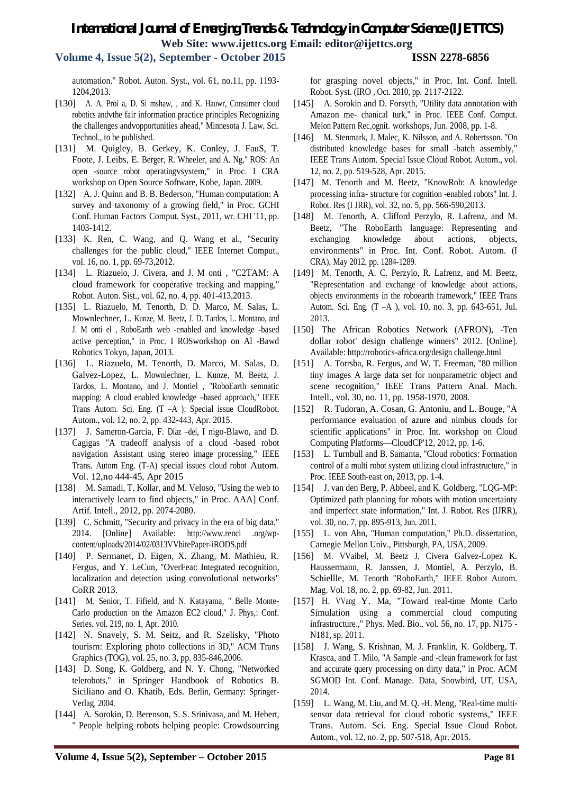**Volume 4, Issue 5(2), September - October 2015 ISSN 2278-6856**

automation." Robot. Auton. Syst., vol. 61, no.11, pp. 1193- 1204,2013.

- [130] A. A. Proi a, D. Si mshaw, , and K. Hauwr, Consumer cloud robotics andvthe fair information practice principles Recognizing the challenges andvopportunities ahead," Minnesota J. Law, Sci. Technol., to be published.
- [131] M. Quigley, B. Gerkey, K. Conley, J. FauS, T. Foote, J. Leibs, E. Berger, R. Wheeler, and A. Ng," ROS: An open -source robot operatingvsystem," in Proc. I CRA workshop on Open Source Software, Kobe, Japan. 2009.
- [132] A. J. Quinn and B. B. Bederson, "Human computation: A survey and taxonomy of a growing field," in Proc. GCHI Conf. Human Factors Comput. Syst., 2011, wr. CHI '11, pp. 1403-1412.
- [133] K. Ren, C. Wang, and Q. Wang et al., "Security challenges for the public cloud," IEEE Internet Comput., vol. 16, no. 1, pp. 69-73,2012.
- [134] L. Riazuelo, J. Civera, and J. M onti , "C2TAM: A cloud framework for cooperative tracking and mapping," Robot. Auton. Sist., vol. 62, no. 4, pp. 401-413,2013.
- [135] L. Riazuelo, M. Tenorth, D. D. Marco, M. Salas, L. Mownlechner, L. Kunze, M. Beetz, J. D. Tardos, L. Montano, and J. M onti el , RoboEarth web -enabled and knowledge -based active perception," in Proc. I ROSworkshop on Al -Bawd Robotics Tokyo, Japan, 2013.
- [136] L. Riazuelo, M. Tenorth, D. Marco, M. Salas, D. Galvez-Lopez, L. Mownlechner, L. Kunze, M. Beetz, J. Tardos, L. Montano, and J. Montiel , "RoboEarth semnatic mapping: A cloud enabled knowledge –based approach," IEEE Trans Autom. Sci. Eng. (T –A ): Special issue CloudRobot. Autom., vol. 12, no. 2, pp. 432-443, Apr. 2015.
- [137] J. Sameron-Garcia, F. Diaz –del, I nigo-Blawo, and D. Cagigas "A tradeoff analysis of a cloud -based robot navigation Assistant using stereo image processing," IEEE Trans. Autom Eng. (T-A) special issues cloud robot Autom. Vol. 12,no 444-45, Apr 2015
- [138] M. Samadi, T. Kollar, and M. Veloso, "Using the web to interactively learn to find objects," in Proc. AAA] Conf. Artif. Intell., 2012, pp. 2074-2080.
- [139] C. Schmitt, "Security and privacy in the era of big data," 2014. [Online] Available: http://www.renci .org/wpcontent/uploads/2014/02/0313VVhitePaper-iRODS.pdf
- [140] P. Sermanet, D. Eigen, X. Zhang, M. Mathieu, R. Fergus, and Y. LeCun, "OverFeat: Integrated recognition, localization and detection using convolutional networks" CoRR 2013.
- [141] M. Senior, T. Fifield, and N. Katayama, " Belle Monte-Carlo production on the Amazon EC2 cloud," J. Phys,: Conf. Series, vol. 219, no. 1, Apr. 2010.
- [142] N. Snavely, S. M. Seitz, and R. Szelisky, "Photo tourism: Exploring photo collections in 3D," ACM Trans Graphics (TOG), vol. 25, no. 3, pp. 835-846,2006.
- [143] D. Song, K. Goldberg, and N. Y. Chong, "Networked" telerobots," in Springer Handbook of Robotics B. Siciliano and O. Khatib, Eds. Berlin, Germany: Springer-Verlag, 2004.
- [144] A. Sorokin, D. Berenson, S. S. Srinivasa, and M. Hebert, " People helping robots helping people: Crowdsourcing

for grasping novel objects," in Proc. Int. Conf. Intell. Robot. Syst. (IRO , Oct. 2010, pp. 2117-2122.

- [145] A. Sorokin and D. Forsyth, "Utility data annotation with Amazon me- chanical turk," in Proc. IEEE Conf. Comput. Melon Pattern Rec,ognit. workshops, Jun. 2008, pp. 1-8.
- [146] M. Stenmark, J. Malec, K. Nilsson, and A. Robertsson. "On distributed knowledge bases for small -batch assembly," IEEE Trans Autom. Special Issue Cloud Robot. Autom., vol. 12, no. 2, pp. 519-528, Apr. 2015.
- [147] M. Tenorth and M. Beetz, "KnowRob: A knowledge processing infra- structure for cognition -enabled robots" Int. J. Robot. Res (I JRR), vol. 32, no. 5, pp. 566-590,2013.
- [148] M. Tenorth, A. Clifford Perzylo, R. Lafrenz, and M. Beetz, "The RoboEarth language: Representing and exchanging knowledge about actions, objects, environments" in Proc. Int. Conf. Robot. Autom. (I CRA), May 2012, pp. 1284-1289.
- [149] M. Tenorth, A. C. Perzylo, R. Lafrenz, and M. Beetz, "Representation and exchange of knowledge about actions, objects environments in the roboearth framework," IEEE Trans Autom. Sci. Eng. (T –A ), vol. 10, no. 3, pp. 643-651, Jul. 2013.
- [150] The African Robotics Network (AFRON), -Ten dollar robot' design challenge winners" 2012. [Online]. Available: http://robotics-africa.org/design challenge.html
- [151] A. Torrsba, R. Fergus, and W. T. Freeman, "80 million tiny images A large data set for nonparametric object and scene recognition," IEEE Trans Pattern Anal. Mach. Intell., vol. 30, no. 11, pp. 1958-1970, 2008.
- [152] R. Tudoran, A. Cosan, G. Antoniu, and L. Bouge, "A performance evaluation of azure and nimbus clouds for scientific applications" in Proc. Int. workshop on Cloud Computing Platforms—CloudCP'12, 2012, pp. 1-6.
- [153] L. Turnbull and B. Samanta, "Cloud robotics: Formation control of a multi robot system utilizing cloud infrastructure," in Proc. IEEE South-east on, 2013, pp. 1-4.
- [154] J. van den Berg, P. Abbeel, and K. Goldberg, "LQG-MP: Optimized path planning for robots with motion uncertainty and imperfect state information," Int. J. Robot. Res (IJRR), vol. 30, no. 7, pp. 895-913, Jun. 2011.
- [155] L. von Ahn, "Human computation," Ph.D. dissertation, Carnegie Mellon Univ., Pittsburgh, PA, USA, 2009.
- [156] M. VVaibel, M. Beetz J. Civera Galvez-Lopez K. Haussermann, R. Janssen, J. Montiel, A. Perzylo, B. Schiellle, M. Tenorth "RoboEarth," IEEE Robot Autom. Mag. Vol. 18, no. 2, pp. 69-82, Jun. 2011.
- [157] H. VVang Y. Ma, "Toward real-time Monte Carlo Simulation using a commercial cloud computing infrastructure.," Phys. Med. Bio., vol. 56, no. 17, pp. N175 - N181, sp. 2011.
- [158] J. Wang, S. Krishnan, M. J. Franklin, K. Goldberg, T. Krasca, and T. Milo, "A Sample -and -clean framework for fast and accurate query processing on dirty data," in Proc. ACM SGMOD Int. Conf. Manage. Data, Snowbird, UT, USA, 2014.
- [159] L. Wang, M. Liu, and M. Q. -H. Meng, "Real-time multisensor data retrieval for cloud robotic systems," IEEE Trans. Autom. Sci. Eng. Special Issue Cloud Robot. Autom., vol. 12, no. 2, pp. 507-518, Apr. 2015.